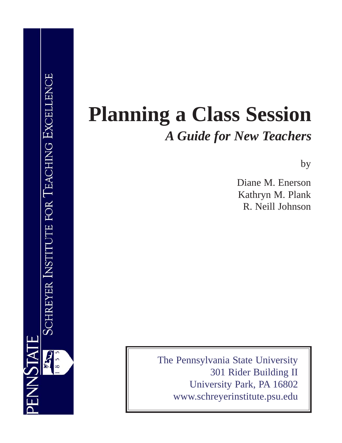# **Planning a Class Session** *A Guide for New Teachers*

by

Diane M. Enerson Kathryn M. Plank R. Neill Johnson

The Pennsylvania State University 301 Rider Building II University Park, PA 16802 www.schreyerinstitute.psu.edu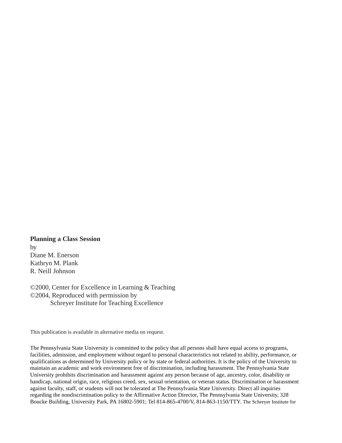**Planning a Class Session** by Diane M. Enerson Kathryn M. Plank R. Neill Johnson

©2000, Center for Excellence in Learning & Teaching ©2004, Reproduced with permission by Schreyer Institute for Teaching Excellence

This publication is available in alternative media on request.

The Pennsylvania State University is committed to the policy that all persons shall have equal access to programs, facilities, admission, and employment without regard to personal characteristics not related to ability, performance, or qualifications as determined by University policy or by state or federal authorities. It is the policy of the University to maintain an academic and work environment free of discrimination, including harassment. The Pennsylvania State University prohibits discrimination and harassment against any person because of age, ancestry, color, disability or handicap, national origin, race, religious creed, sex, sexual orientation, or veteran status. Discrimination or harassment against faculty, staff, or students will not be tolerated at The Pennsylvania State University. Direct all inquiries regarding the nondiscrimination policy to the Affirmative Action Director, The Pennsylvania State University, 328 Boucke Building, University Park, PA 16802-5901; Tel 814-865-4700/V, 814-863-1150/TTY. The Schreyer Institute for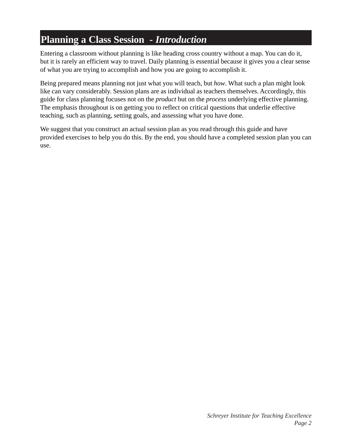# **Planning a Class Session -** *Introduction*

Entering a classroom without planning is like heading cross country without a map. You can do it, but it is rarely an efficient way to travel. Daily planning is essential because it gives you a clear sense of what you are trying to accomplish and how you are going to accomplish it.

Being prepared means planning not just what you will teach, but *how*. What such a plan might look like can vary considerably. Session plans are as individual as teachers themselves. Accordingly, this guide for class planning focuses not on the *product* but on the *process* underlying effective planning. The emphasis throughout is on getting you to reflect on critical questions that underlie effective teaching, such as planning, setting goals, and assessing what you have done.

We suggest that you construct an actual session plan as you read through this guide and have provided exercises to help you do this. By the end, you should have a completed session plan you can use.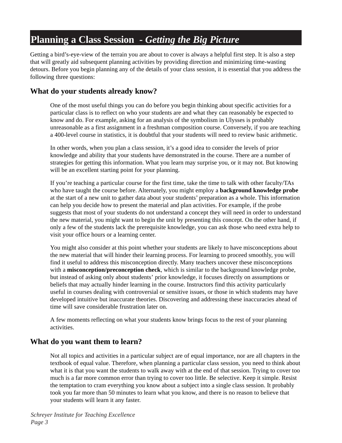Getting a bird's-eye-view of the terrain you are about to cover is always a helpful first step. It is also a step that will greatly aid subsequent planning activities by providing direction and minimizing time-wasting detours. Before you begin planning any of the details of your class session, it is essential that you address the following three questions:

#### **What do your students already know?**

One of the most useful things you can do before you begin thinking about specific activities for a particular class is to reflect on who your students are and what they can reasonably be expected to know and do. For example, asking for an analysis of the symbolism in Ulysses is probably unreasonable as a first assignment in a freshman composition course. Conversely, if you are teaching a 400-level course in statistics, it is doubtful that your students will need to review basic arithmetic.

In other words, when you plan a class session, it's a good idea to consider the levels of prior knowledge and ability that your students have demonstrated in the course. There are a number of strategies for getting this information. What you learn may surprise you, or it may not. But knowing will be an excellent starting point for your planning.

If you're teaching a particular course for the first time, take the time to talk with other faculty/TAs who have taught the course before. Alternately, you might employ a **background knowledge probe** at the start of a new unit to gather data about your students' preparation as a whole. This information can help you decide how to present the material and plan activities. For example, if the probe suggests that most of your students do not understand a concept they will need in order to understand the new material, you might want to begin the unit by presenting this concept. On the other hand, if only a few of the students lack the prerequisite knowledge, you can ask those who need extra help to visit your office hours or a learning center.

You might also consider at this point whether your students are likely to have misconceptions about the new material that will hinder their learning process. For learning to proceed smoothly, you will find it useful to address this misconception directly. Many teachers uncover these misconceptions with a **misconception/preconception check**, which is similar to the background knowledge probe, but instead of asking only about students' prior knowledge, it focuses directly on assumptions or beliefs that may actually hinder learning in the course. Instructors find this activity particularly useful in courses dealing with controversial or sensitive issues, or those in which students may have developed intuitive but inaccurate theories. Discovering and addressing these inaccuracies ahead of time will save considerable frustration later on.

A few moments reflecting on what your students know brings focus to the rest of your planning activities.

#### **What do you want them to learn?**

Not all topics and activities in a particular subject are of equal importance, nor are all chapters in the textbook of equal value. Therefore, when planning a particular class session, you need to think about what it is that you want the students to walk away with at the end of that session. Trying to cover too much is a far more common error than trying to cover too little. Be selective. Keep it simple. Resist the temptation to cram everything you know about a subject into a single class session. It probably took you far more than 50 minutes to learn what you know, and there is no reason to believe that your students will learn it any faster.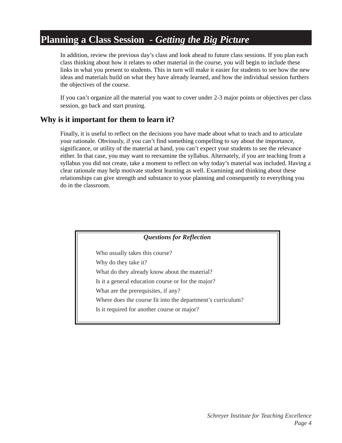In addition, review the previous day's class and look ahead to future class sessions. If you plan each class thinking about how it relates to other material in the course, you will begin to include these links in what you present to students. This in turn will make it easier for students to see how the new ideas and materials build on what they have already learned, and how the individual session furthers the objectives of the course.

If you can't organize all the material you want to cover under 2-3 major points or objectives per class session, go back and start pruning.

#### **Why is it important for them to learn it?**

Finally, it is useful to reflect on the decisions you have made about what to teach and to articulate your rationale. Obviously, if you can't find something compelling to say about the importance, significance, or utility of the material at hand, you can't expect your students to see the relevance either. In that case, you may want to reexamine the syllabus. Alternately, if you are teaching from a syllabus you did not create, take a moment to reflect on why today's material was included. Having a clear rationale may help motivate student learning as well. Examining and thinking about these relationships can give strength and substance to your planning and consequently to everything you do in the classroom.

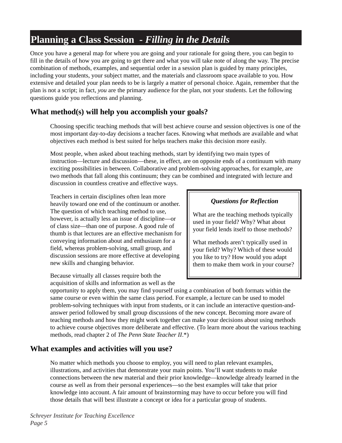Once you have a general map for where you are going and your rationale for going there, you can begin to fill in the details of how you are going to get there and what you will take note of along the way. The precise combination of methods, examples, and sequential order in a session plan is guided by many principles, including your students, your subject matter, and the materials and classroom space available to you. How extensive and detailed your plan needs to be is largely a matter of personal choice. Again, remember that the plan is not a script; in fact, *you* are the primary audience for the plan, not your students. Let the following questions guide you reflections and planning.

### **What method(s) will help you accomplish your goals?**

Choosing specific teaching methods that will best achieve course and session objectives is one of the most important day-to-day decisions a teacher faces. Knowing what methods are available and what objectives each method is best suited for helps teachers make this decision more easily.

Most people, when asked about teaching methods, start by identifying two main types of instruction—lecture and discussion—these, in effect, are on opposite ends of a continuum with many exciting possibilities in between. Collaborative and problem-solving approaches, for example, are two methods that fall along this continuum; they can be combined and integrated with lecture and discussion in countless creative and effective ways.

Teachers in certain disciplines often lean more heavily toward one end of the continuum or another. The question of which teaching method to use, however, is actually less an issue of discipline—or of class size—than one of purpose. A good rule of thumb is that lectures are an effective mechanism for conveying information about and enthusiasm for a field, whereas problem-solving, small group, and discussion sessions are more effective at developing new skills and changing behavior.

Because virtually all classes require both the acquisition of skills and information as well as the

#### *Questions for Reflection*

What are the teaching methods typically used in your field? Why? What about your field lends itself to those methods?

What methods aren't typically used in your field? Why? Which of these would you like to try? How would you adapt them to make them work in your course?

opportunity to apply them, you may find yourself using a combination of both formats within the same course or even within the same class period. For example, a lecture can be used to model problem-solving techniques with input from students, or it can include an interactive question-andanswer period followed by small group discussions of the new concept. Becoming more aware of teaching methods and how they might work together can make your decisions about using methods to achieve course objectives more deliberate and effective. (To learn more about the various teaching methods, read chapter 2 of *The Penn State Teacher II*.\*)

### **What examples and activities will you use?**

No matter which methods you choose to employ, you will need to plan relevant examples, illustrations, and activities that demonstrate your main points. You'll want students to make connections between the new material and their prior knowledge—knowledge already learned in the course as well as from their personal experiences—so the best examples will take that prior knowledge into account. A fair amount of brainstorming may have to occur before you will find those details that will best illustrate a concept or idea for a particular group of students.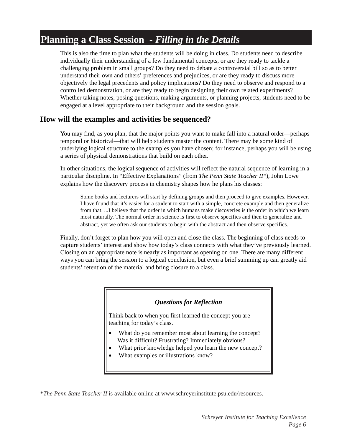This is also the time to plan what the students will be doing in class. Do students need to describe individually their understanding of a few fundamental concepts, or are they ready to tackle a challenging problem in small groups? Do they need to debate a controversial bill so as to better understand their own and others' preferences and prejudices, or are they ready to discuss more objectively the legal precedents and policy implications? Do they need to observe and respond to a controlled demonstration, or are they ready to begin designing their own related experiments? Whether taking notes, posing questions, making arguments, or planning projects, students need to be engaged at a level appropriate to their background and the session goals.

#### **How will the examples and activities be sequenced?**

You may find, as you plan, that the major points you want to make fall into a natural order—perhaps temporal or historical—that will help students master the content. There may be some kind of underlying logical structure to the examples you have chosen; for instance, perhaps you will be using a series of physical demonstrations that build on each other.

In other situations, the logical sequence of activities will reflect the natural sequence of learning in a particular discipline. In "Effective Explanations" (from *The Penn State Teacher II\**), John Lowe explains how the discovery process in chemistry shapes how he plans his classes:

Some books and lecturers will start by defining groups and then proceed to give examples. However, I have found that it's easier for a student to start with a simple, concrete example and then generalize from that. ...I believe that the order in which humans make discoveries is the order in which we learn most naturally. The normal order in science is first to observe specifics and then to generalize and abstract, yet we often ask our students to begin with the abstract and then observe specifics.

Finally, don't forget to plan how you will open and close the class. The beginning of class needs to capture students' interest and show how today's class connects with what they've previously learned. Closing on an appropriate note is nearly as important as opening on one. There are many different ways you can bring the session to a logical conclusion, but even a brief summing up can greatly aid students' retention of the material and bring closure to a class.

#### *Questions for Reflection*

Think back to when you first learned the concept you are teaching for today's class.

- What do you remember most about learning the concept? Was it difficult? Frustrating? Immediately obvious?
- What prior knowledge helped you learn the new concept?
- What examples or illustrations know?

\**The Penn State Teacher II* is available online at www.schreyerinstitute.psu.edu/resources.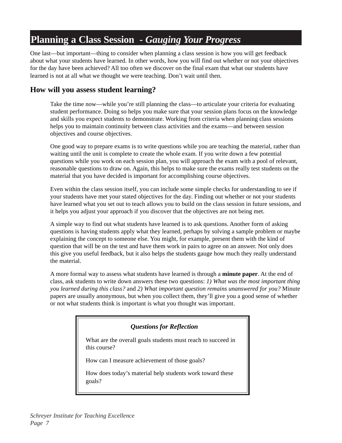### **Planning a Class Session -** *Gauging Your Progress*

One last—but important—thing to consider when planning a class session is how you will get feedback about what your students have learned. In other words, how you will find out whether or not your objectives for the day have been achieved? All too often we discover on the final exam that what our students have learned is not at all what we thought we were teaching. Don't wait until then.

### **How will you assess student learning?**

Take the time now—while you're still planning the class—to articulate your criteria for evaluating student performance. Doing so helps you make sure that your session plans focus on the knowledge and skills you expect students to demonstrate. Working from criteria when planning class sessions helps you to maintain continuity between class activities and the exams—and between session objectives and course objectives.

One good way to prepare exams is to write questions while you are teaching the material, rather than waiting until the unit is complete to create the whole exam. If you write down a few potential questions while you work on each session plan, you will approach the exam with a pool of relevant, reasonable questions to draw on. Again, this helps to make sure the exams really test students on the material that you have decided is important for accomplishing course objectives.

Even within the class session itself, you can include some simple checks for understanding to see if your students have met your stated objectives for the day. Finding out whether or not your students have learned what you set out to teach allows you to build on the class session in future sessions, and it helps you adjust your approach if you discover that the objectives are not being met.

A simple way to find out what students have learned is to ask questions. Another form of asking questions is having students apply what they learned, perhaps by solving a sample problem or maybe explaining the concept to someone else. You might, for example, present them with the kind of question that will be on the test and have them work in pairs to agree on an answer. Not only does this give you useful feedback, but it also helps the students gauge how much they really understand the material.

A more formal way to assess what students have learned is through a **minute paper**. At the end of class, ask students to write down answers these two questions: *1) What was the most important thing you learned during this class?* and *2) What important question remains unanswered for you?* Minute papers are usually anonymous, but when you collect them, they'll give you a good sense of whether or not what students think is important is what you thought was important.

#### *Questions for Reflection*

What are the overall goals students must reach to succeed in this course?

How can I measure achievement of those goals?

How does today's material help students work toward these goals?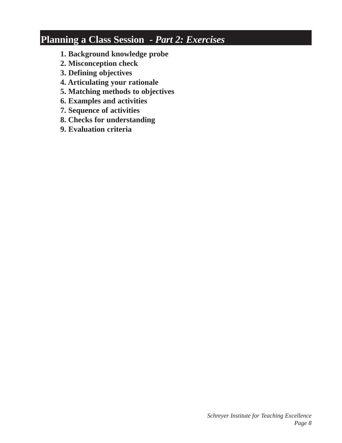# **Planning a Class Session -** *Part 2: Exercises*

- **1. Background knowledge probe**
- **2. Misconception check**
- **3. Defining objectives**
- **4. Articulating your rationale**
- **5. Matching methods to objectives**
- **6. Examples and activities**
- **7. Sequence of activities**
- **8. Checks for understanding**
- **9. Evaluation criteria**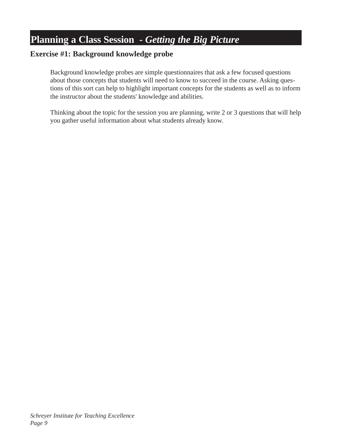### **Exercise #1: Background knowledge probe**

Background knowledge probes are simple questionnaires that ask a few focused questions about those concepts that students will need to know to succeed in the course. Asking questions of this sort can help to highlight important concepts for the students as well as to inform the instructor about the students' knowledge and abilities.

Thinking about the topic for the session you are planning, write 2 or 3 questions that will help you gather useful information about what students already know.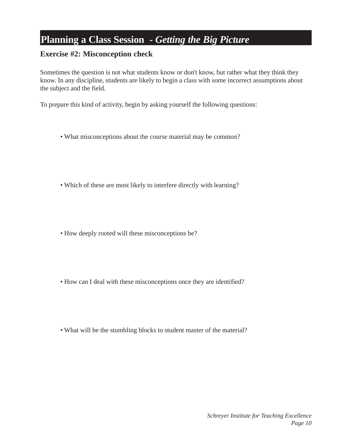### **Exercise #2: Misconception check**

Sometimes the question is not what students know or don't know, but rather what they think they know. In any discipline, students are likely to begin a class with some incorrect assumptions about the subject and the field.

To prepare this kind of activity, begin by asking yourself the following questions:

- What misconceptions about the course material may be common?
- Which of these are most likely to interfere directly with learning?
- How deeply rooted will these misconceptions be?
- How can I deal with these misconceptions once they are identified?
- What will be the stumbling blocks to student master of the material?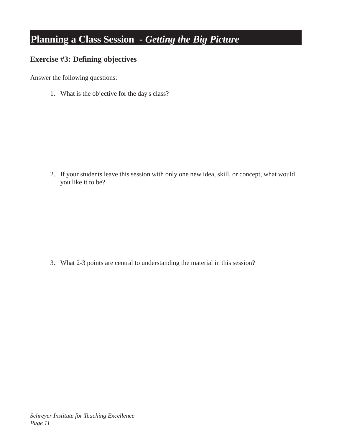### **Exercise #3: Defining objectives**

Answer the following questions:

1. What is the objective for the day's class?

2. If your students leave this session with only one new idea, skill, or concept, what would you like it to be?

3. What 2-3 points are central to understanding the material in this session?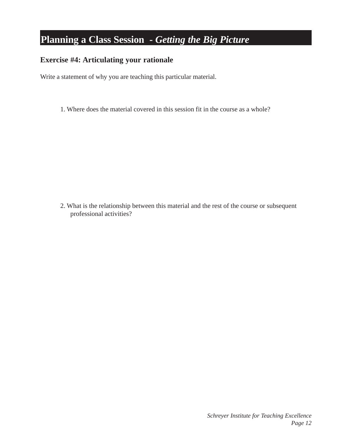### **Exercise #4: Articulating your rationale**

Write a statement of why you are teaching this particular material.

1. Where does the material covered in this session fit in the course as a whole?

2. What is the relationship between this material and the rest of the course or subsequent professional activities?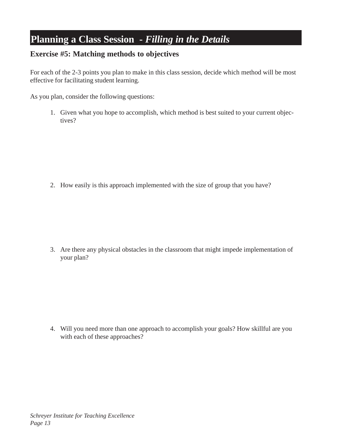### **Exercise #5: Matching methods to objectives**

For each of the 2-3 points you plan to make in this class session, decide which method will be most effective for facilitating student learning.

As you plan, consider the following questions:

1. Given what you hope to accomplish, which method is best suited to your current objectives?

2. How easily is this approach implemented with the size of group that you have?

3. Are there any physical obstacles in the classroom that might impede implementation of your plan?

4. Will you need more than one approach to accomplish your goals? How skillful are you with each of these approaches?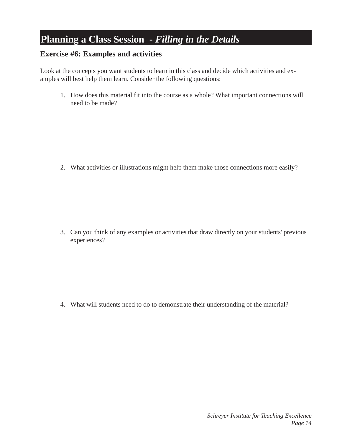### **Exercise #6: Examples and activities**

Look at the concepts you want students to learn in this class and decide which activities and examples will best help them learn. Consider the following questions:

1. How does this material fit into the course as a whole? What important connections will need to be made?

2. What activities or illustrations might help them make those connections more easily?

3. Can you think of any examples or activities that draw directly on your students' previous experiences?

4. What will students need to do to demonstrate their understanding of the material?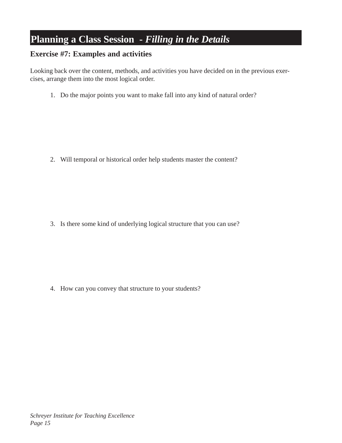### **Exercise #7: Examples and activities**

Looking back over the content, methods, and activities you have decided on in the previous exercises, arrange them into the most logical order.

1. Do the major points you want to make fall into any kind of natural order?

2. Will temporal or historical order help students master the content?

3. Is there some kind of underlying logical structure that you can use?

4. How can you convey that structure to your students?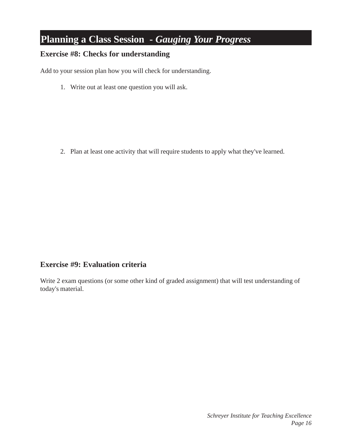# **Planning a Class Session -** *Gauging Your Progress*

### **Exercise #8: Checks for understanding**

Add to your session plan how you will check for understanding.

1. Write out at least one question you will ask.

2. Plan at least one activity that will require students to apply what they've learned.

### **Exercise #9: Evaluation criteria**

Write 2 exam questions (or some other kind of graded assignment) that will test understanding of today's material.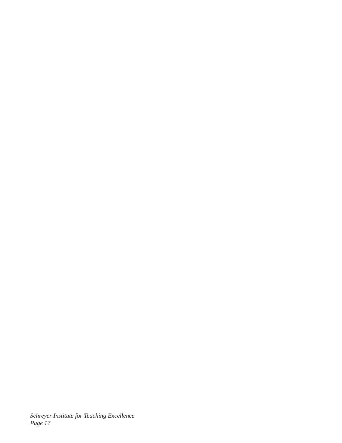*Schreyer Institute for Teaching Excellence Page 17*